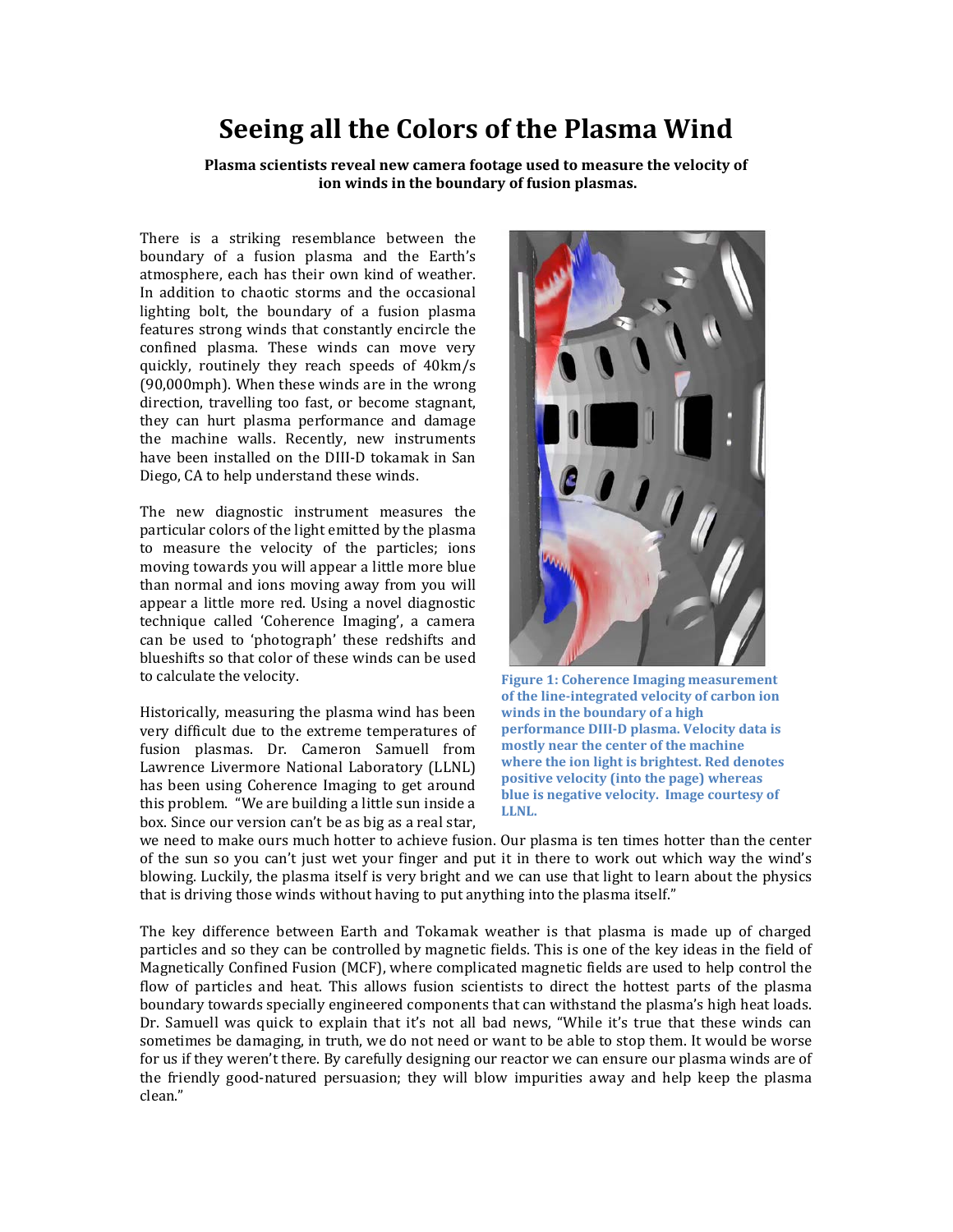## **Seeing all the Colors of the Plasma Wind**

**Plasma scientists reveal new camera footage used to measure the velocity of ion winds in the boundary of fusion plasmas.**

There is a striking resemblance between the boundary of a fusion plasma and the Earth's atmosphere, each has their own kind of weather. In addition to chaotic storms and the occasional lighting bolt, the boundary of a fusion plasma features strong winds that constantly encircle the confined plasma. These winds can move very quickly, routinely they reach speeds of 40km/s (90,000mph). When these winds are in the wrong direction, travelling too fast, or become stagnant, they can hurt plasma performance and damage the machine walls. Recently, new instruments have been installed on the DIII-D tokamak in San Diego, CA to help understand these winds.

The new diagnostic instrument measures the particular colors of the light emitted by the plasma to measure the velocity of the particles; ions moving towards you will appear a little more blue than normal and ions moving away from you will appear a little more red. Using a novel diagnostic technique called 'Coherence Imaging', a camera can be used to 'photograph' these redshifts and blueshifts so that color of these winds can be used to calculate the velocity.

Historically, measuring the plasma wind has been very difficult due to the extreme temperatures of fusion plasmas. Dr. Cameron Samuell from Lawrence Livermore National Laboratory (LLNL) has been using Coherence Imaging to get around this problem. "We are building a little sun inside a box. Since our version can't be as big as a real star,



**Figure 1: Coherence Imaging measurement of the line-integrated velocity of carbon ion winds in the boundary of a high performance DIII-D plasma. Velocity data is mostly near the center of the machine where the ion light is brightest. Red denotes positive velocity (into the page) whereas blue is negative velocity. Image courtesy of LLNL.** 

we need to make ours much hotter to achieve fusion. Our plasma is ten times hotter than the center of the sun so you can't just wet your finger and put it in there to work out which way the wind's blowing. Luckily, the plasma itself is very bright and we can use that light to learn about the physics that is driving those winds without having to put anything into the plasma itself."

The key difference between Earth and Tokamak weather is that plasma is made up of charged particles and so they can be controlled by magnetic fields. This is one of the key ideas in the field of Magnetically Confined Fusion (MCF), where complicated magnetic fields are used to help control the flow of particles and heat. This allows fusion scientists to direct the hottest parts of the plasma boundary towards specially engineered components that can withstand the plasma's high heat loads. Dr. Samuell was quick to explain that it's not all bad news, "While it's true that these winds can sometimes be damaging, in truth, we do not need or want to be able to stop them. It would be worse for us if they weren't there. By carefully designing our reactor we can ensure our plasma winds are of the friendly good-natured persuasion; they will blow impurities away and help keep the plasma clean."